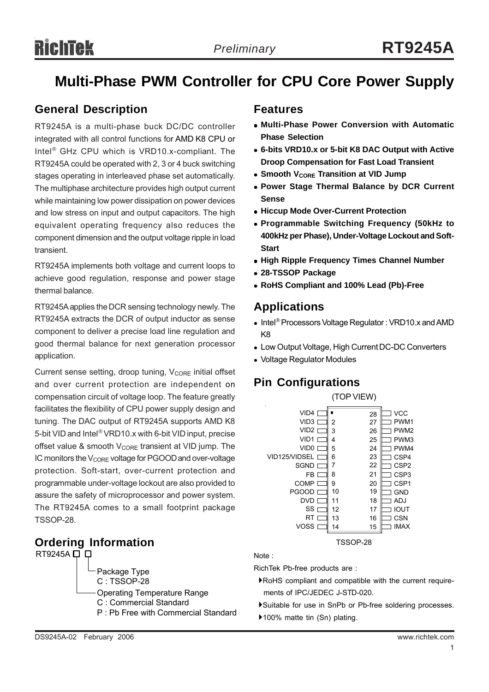# **Multi-Phase PWM Controller for CPU Core Power Supply**

## **General Description**

RT9245A is a multi-phase buck DC/DC controller integrated with all control functions for AMD K8 CPU or Intel® GHz CPU which is VRD10.x-compliant. The RT9245A could be operated with 2, 3 or 4 buck switching stages operating in interleaved phase set automatically. The multiphase architecture provides high output current while maintaining low power dissipation on power devices and low stress on input and output capacitors. The high equivalent operating frequency also reduces the component dimension and the output voltage ripple in load transient.

RT9245A implements both voltage and current loops to achieve good regulation, response and power stage thermal balance.

RT9245A applies the DCR sensing technology newly. The RT9245A extracts the DCR of output inductor as sense component to deliver a precise load line regulation and good thermal balance for next generation processor application.

Current sense setting, droop tuning, V<sub>CORE</sub> initial offset and over current protection are independent on compensation circuit of voltage loop. The feature greatly facilitates the flexibility of CPU power supply design and tuning. The DAC output of RT9245A supports AMD K8 5-bit VID and Intel® VRD10.x with 6-bit VID input, precise offset value & smooth  $V_{\text{CORE}}$  transient at VID jump. The IC monitors the  $V_{\text{CORE}}$  voltage for PGOOD and over-voltage protection. Soft-start, over-current protection and programmable under-voltage lockout are also provided to assure the safety of microprocessor and power system. The RT9245A comes to a small footprint package TSSOP-28.

# **Ordering Information** TSSOP-28

 $RT9245A \Box \Box$ Package Type C : TSSOP-28 Operating Temperature Range C : Commercial Standard P : Pb Free with Commercial Standard

### **Features**

- <sup>z</sup> **Multi-Phase Power Conversion with Automatic Phase Selection**
- <sup>z</sup> **6-bits VRD10.x or 5-bit K8 DAC Output with Active Droop Compensation for Fast Load Transient**
- **Smooth VCORE Transition at VID Jump**
- **Power Stage Thermal Balance by DCR Current Sense**
- **Hiccup Mode Over-Current Protection**
- <sup>z</sup> **Programmable Switching Frequency (50kHz to 400kHz per Phase), Under-Voltage Lockout and Soft-Start**
- **High Ripple Frequency Times Channel Number**
- <sup>z</sup> **28-TSSOP Package**
- <sup>z</sup> **RoHS Compliant and 100% Lead (Pb)-Free**

# **Applications**

- Intel<sup>®</sup> Processors Voltage Regulator : VRD10.x and AMD K8
- Low Output Voltage, High Current DC-DC Converters
- Voltage Regulator Modules

# **Pin Configurations**

|                  | (TOP VIEW) |    |                  |
|------------------|------------|----|------------------|
| VID4             |            | 28 | <b>VCC</b>       |
| VID3             | 2          | 27 | PWM1             |
| VID2             | 3          | 26 | PWM <sub>2</sub> |
| VID <sub>1</sub> | 4          | 25 | PWM3             |
| VID <sub>0</sub> | 5          | 24 | PWM4             |
| VID125/VIDSEL    | 6          | 23 | CSP4             |
| <b>SGND</b>      | 7          | 22 | CSP <sub>2</sub> |
| FB.              | 8          | 21 | CSP <sub>3</sub> |
| COMP             | 9          | 20 | CSP <sub>1</sub> |
| <b>PGOOD</b>     | 10         | 19 | <b>GND</b>       |
| DVD              | 11         | 18 | ADJ              |
| SS               | 12         | 17 | <b>IOUT</b>      |
| RT               | 13         | 16 | <b>CSN</b>       |
| VOSS             | 14         | 15 | <b>IMAX</b>      |
|                  |            |    |                  |

Note :

RichTek Pb-free products are :

- `RoHS compliant and compatible with the current require ments of IPC/JEDEC J-STD-020.
- `Suitable for use in SnPb or Pb-free soldering processes.
- ▶100% matte tin (Sn) plating.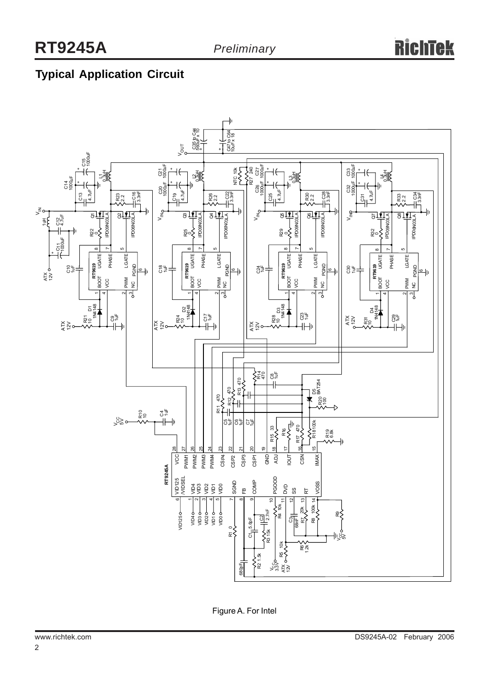# **Typical Application Circuit**



Figure A. For Intel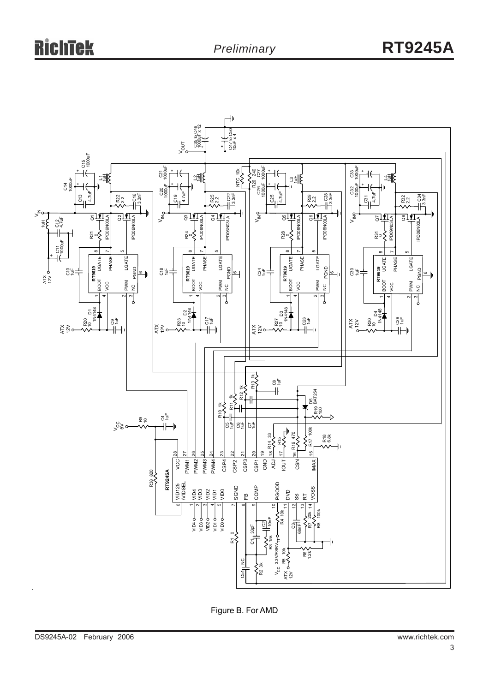

Figure B. For AMD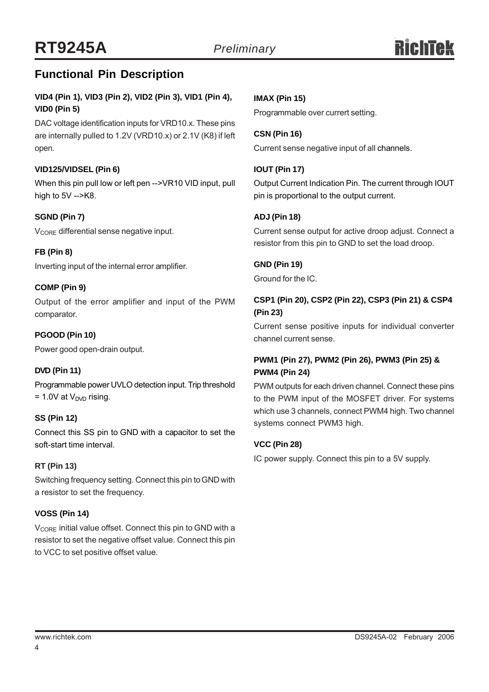# **Functional Pin Description**

### **VID4 (Pin 1), VID3 (Pin 2), VID2 (Pin 3), VID1 (Pin 4), VID0 (Pin 5)**

DAC voltage identification inputs for VRD10.x. These pins are internally pulled to 1.2V (VRD10.x) or 2.1V (K8) if left open.

#### **VID125/VIDSEL (Pin 6)**

When this pin pull low or left pen -->VR10 VID input, pull high to  $5V - > K8$ .

#### **SGND (Pin 7)**

V<sub>CORE</sub> differential sense negative input.

#### **FB (Pin 8)**

Inverting input of the internal error amplifier.

#### **COMP (Pin 9)**

Output of the error amplifier and input of the PWM comparator.

#### **PGOOD (Pin 10)**

Power good open-drain output.

#### **DVD (Pin 11)**

Programmable power UVLO detection input. Trip threshold  $= 1.0V$  at  $V_{\text{DVD}}$  rising.

#### **SS (Pin 12)**

Connect this SS pin to GND with a capacitor to set the soft-start time interval.

#### **RT (Pin 13)**

Switching frequency setting. Connect this pin to GND with a resistor to set the frequency.

#### **VOSS (Pin 14)**

 $V_{\text{CORF}}$  initial value offset. Connect this pin to GND with a resistor to set the negative offset value. Connect this pin to VCC to set positive offset value.

#### **IMAX (Pin 15)**

Programmable over currert setting.

**CSN (Pin 16)** Current sense negative input of all channels.

#### **IOUT (Pin 17)**

Output Current Indication Pin. The current through IOUT pin is proportional to the output current.

#### **ADJ (Pin 18)**

Current sense output for active droop adjust. Connect a resistor from this pin to GND to set the load droop.

#### **GND (Pin 19)**

Ground for the IC.

#### **CSP1 (Pin 20), CSP2 (Pin 22), CSP3 (Pin 21) & CSP4 (Pin 23)**

Current sense positive inputs for individual converter channel current sense.

#### **PWM1 (Pin 27), PWM2 (Pin 26), PWM3 (Pin 25) & PWM4 (Pin 24)**

PWM outputs for each driven channel. Connect these pins to the PWM input of the MOSFET driver. For systems which use 3 channels, connect PWM4 high. Two channel systems connect PWM3 high.

#### **VCC (Pin 28)**

IC power supply. Connect this pin to a 5V supply.

4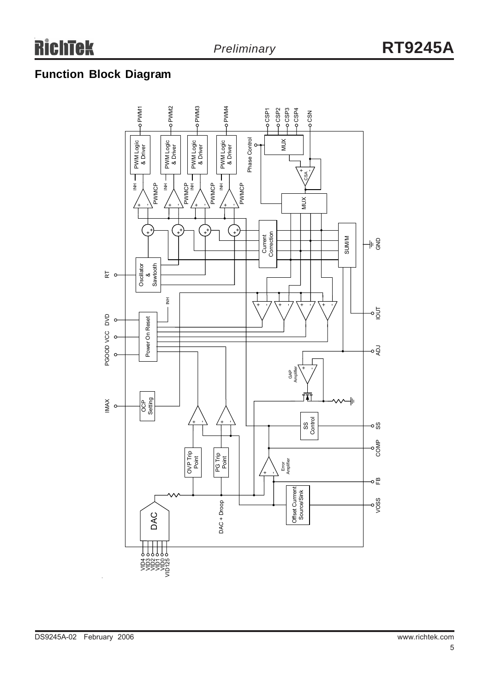# **Function Block Diagram**

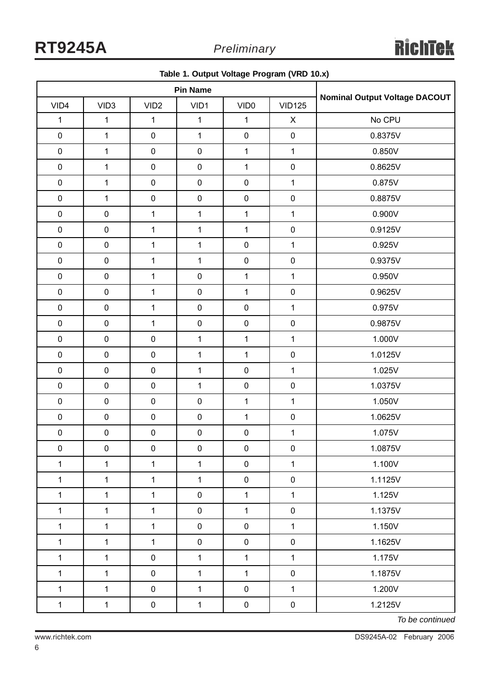| ◡<br>ັ<br>$\cdot$<br>$\cdot$ |                  |                  |              |                                      |                           |         |
|------------------------------|------------------|------------------|--------------|--------------------------------------|---------------------------|---------|
| <b>Pin Name</b>              |                  |                  |              | <b>Nominal Output Voltage DACOUT</b> |                           |         |
| VID4                         | VID <sub>3</sub> | VID <sub>2</sub> | VID1         | VID <sub>0</sub>                     | <b>VID125</b>             |         |
| $\mathbf 1$                  | $\mathbf{1}$     | $\mathbf{1}$     | $\mathbf{1}$ | $\mathbf{1}$                         | $\boldsymbol{\mathsf{X}}$ | No CPU  |
| $\mathsf{O}\xspace$          | $\mathbf{1}$     | $\pmb{0}$        | $\mathbf{1}$ | $\pmb{0}$                            | $\mathbf 0$               | 0.8375V |
| $\mathbf 0$                  | $\mathbf{1}$     | $\pmb{0}$        | $\pmb{0}$    | $\mathbf{1}$                         | $\mathbf{1}$              | 0.850V  |
| $\pmb{0}$                    | $\mathbf{1}$     | $\pmb{0}$        | $\pmb{0}$    | $\mathbf 1$                          | $\mathbf 0$               | 0.8625V |
| $\pmb{0}$                    | $\mathbf{1}$     | $\pmb{0}$        | $\pmb{0}$    | $\pmb{0}$                            | $\mathbf{1}$              | 0.875V  |
| $\pmb{0}$                    | $\mathbf{1}$     | $\pmb{0}$        | $\pmb{0}$    | $\pmb{0}$                            | $\mathbf 0$               | 0.8875V |
| $\pmb{0}$                    | $\pmb{0}$        | $\mathbf{1}$     | $\mathbf 1$  | $\mathbf 1$                          | $\mathbf{1}$              | 0.900V  |
| $\pmb{0}$                    | $\pmb{0}$        | $\mathbf{1}$     | $\mathbf{1}$ | $\mathbf{1}$                         | $\pmb{0}$                 | 0.9125V |
| $\pmb{0}$                    | $\pmb{0}$        | $\mathbf{1}$     | $\mathbf 1$  | $\pmb{0}$                            | $\mathbf{1}$              | 0.925V  |
| $\pmb{0}$                    | $\pmb{0}$        | $\mathbf{1}$     | $\mathbf{1}$ | $\pmb{0}$                            | $\pmb{0}$                 | 0.9375V |
| $\pmb{0}$                    | $\pmb{0}$        | $\mathbf{1}$     | $\pmb{0}$    | $\mathbf{1}$                         | $\mathbf{1}$              | 0.950V  |
| $\mathbf 0$                  | $\pmb{0}$        | $\mathbf{1}$     | $\pmb{0}$    | $\mathbf{1}$                         | $\pmb{0}$                 | 0.9625V |
| $\pmb{0}$                    | $\pmb{0}$        | $\mathbf 1$      | $\pmb{0}$    | $\pmb{0}$                            | $\mathbf{1}$              | 0.975V  |
| $\mathbf 0$                  | $\pmb{0}$        | $\mathbf{1}$     | $\pmb{0}$    | $\pmb{0}$                            | $\mathbf 0$               | 0.9875V |
| $\pmb{0}$                    | $\pmb{0}$        | $\pmb{0}$        | $\mathbf 1$  | $\mathbf{1}$                         | $\mathbf{1}$              | 1.000V  |
| $\mathbf 0$                  | $\pmb{0}$        | $\pmb{0}$        | $\mathbf 1$  | $\mathbf{1}$                         | $\pmb{0}$                 | 1.0125V |
| $\pmb{0}$                    | $\pmb{0}$        | $\pmb{0}$        | $\mathbf{1}$ | $\pmb{0}$                            | $\mathbf{1}$              | 1.025V  |
| $\pmb{0}$                    | $\pmb{0}$        | $\pmb{0}$        | $\mathbf 1$  | $\pmb{0}$                            | $\pmb{0}$                 | 1.0375V |
| $\pmb{0}$                    | $\pmb{0}$        | $\pmb{0}$        | $\pmb{0}$    | $\mathbf{1}$                         | $\mathbf{1}$              | 1.050V  |
| $\pmb{0}$                    | $\pmb{0}$        | $\pmb{0}$        | $\pmb{0}$    | $\mathbf{1}$                         | $\pmb{0}$                 | 1.0625V |
| $\pmb{0}$                    | $\pmb{0}$        | $\pmb{0}$        | $\pmb{0}$    | $\pmb{0}$                            | $\mathbf 1$               | 1.075V  |
| 0                            | 0                | 0                | 0            | 0                                    | 0                         | 1.0875V |
| $\mathbf{1}$                 | $\mathbf{1}$     | $\mathbf{1}$     | $\mathbf{1}$ | $\pmb{0}$                            | $\mathbf{1}$              | 1.100V  |
| 1                            | $\mathbf 1$      | $\mathbf{1}$     | $\mathbf{1}$ | $\pmb{0}$                            | $\pmb{0}$                 | 1.1125V |
| $\mathbf{1}$                 | $\mathbf{1}$     | $\mathbf{1}$     | $\pmb{0}$    | $\mathbf{1}$                         | $\mathbf{1}$              | 1.125V  |
| $\mathbf 1$                  | $\mathbf{1}$     | $\mathbf{1}$     | $\mathbf 0$  | $\mathbf{1}$                         | $\pmb{0}$                 | 1.1375V |
| $\mathbf{1}$                 | $\mathbf{1}$     | $\mathbf{1}$     | $\mathbf 0$  | $\pmb{0}$                            | $\mathbf{1}$              | 1.150V  |
| $\mathbf{1}$                 | $\mathbf{1}$     | $\mathbf{1}$     | $\pmb{0}$    | $\pmb{0}$                            | $\pmb{0}$                 | 1.1625V |
| $\mathbf{1}$                 | $\mathbf{1}$     | $\pmb{0}$        | $\mathbf{1}$ | $\mathbf{1}$                         | $\mathbf{1}$              | 1.175V  |
| $\mathbf{1}$                 | $\mathbf{1}$     | $\mathbf 0$      | $\mathbf{1}$ | $\mathbf{1}$                         | $\pmb{0}$                 | 1.1875V |
| $\mathbf{1}$                 | $\mathbf{1}$     | $\pmb{0}$        | $\mathbf{1}$ | $\pmb{0}$                            | $\mathbf{1}$              | 1.200V  |
| $\mathbf{1}$                 | $\mathbf{1}$     | $\pmb{0}$        | $\mathbf{1}$ | $\pmb{0}$                            | $\pmb{0}$                 | 1.2125V |

**Table 1. Output Voltage Program (VRD 10.x)**

*To be continued*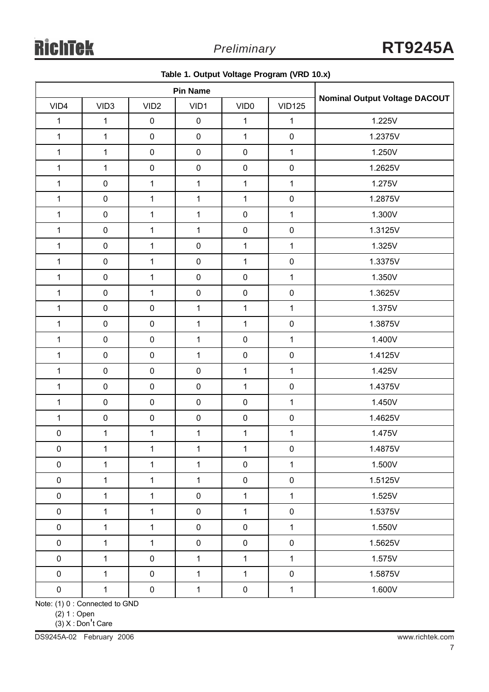|                 |                  |                  |              | ັ                |               | $\overline{\phantom{a}}$             |  |
|-----------------|------------------|------------------|--------------|------------------|---------------|--------------------------------------|--|
| <b>Pin Name</b> |                  |                  |              |                  |               |                                      |  |
| VID4            | VID <sub>3</sub> | VID <sub>2</sub> | VID1         | VID <sub>0</sub> | <b>VID125</b> | <b>Nominal Output Voltage DACOUT</b> |  |
| $\mathbf{1}$    | $\mathbf{1}$     | $\pmb{0}$        | $\pmb{0}$    | $\mathbf{1}$     | $\mathbf{1}$  | 1.225V                               |  |
| $\mathbf{1}$    | $\mathbf{1}$     | $\pmb{0}$        | $\pmb{0}$    | $\mathbf{1}$     | $\pmb{0}$     | 1.2375V                              |  |
| $\mathbf 1$     | $\mathbf 1$      | $\pmb{0}$        | $\pmb{0}$    | $\pmb{0}$        | $\mathbf{1}$  | 1.250V                               |  |
| $\mathbf{1}$    | $\mathbf{1}$     | $\pmb{0}$        | $\pmb{0}$    | $\pmb{0}$        | $\pmb{0}$     | 1.2625V                              |  |
| $\mathbf 1$     | $\pmb{0}$        | $\mathbf{1}$     | $\mathbf{1}$ | $\mathbf{1}$     | $\mathbf 1$   | 1.275V                               |  |
| $\mathbf 1$     | $\pmb{0}$        | $\mathbf{1}$     | $\mathbf{1}$ | $\mathbf{1}$     | $\pmb{0}$     | 1.2875V                              |  |
| $\mathbf{1}$    | $\pmb{0}$        | $\mathbf{1}$     | $\mathbf{1}$ | $\pmb{0}$        | $\mathbf 1$   | 1.300V                               |  |
| $\mathbf 1$     | $\pmb{0}$        | $\mathbf{1}$     | $\mathbf{1}$ | $\pmb{0}$        | $\pmb{0}$     | 1.3125V                              |  |
| $\mathbf{1}$    | $\pmb{0}$        | $\mathbf{1}$     | $\pmb{0}$    | $\mathbf{1}$     | $\mathbf{1}$  | 1.325V                               |  |
| $\mathbf{1}$    | $\pmb{0}$        | $\mathbf{1}$     | $\pmb{0}$    | $\mathbf{1}$     | $\pmb{0}$     | 1.3375V                              |  |
| $\mathbf{1}$    | $\pmb{0}$        | $\mathbf{1}$     | $\pmb{0}$    | $\pmb{0}$        | $\mathbf{1}$  | 1.350V                               |  |
| $\mathbf 1$     | $\pmb{0}$        | $\mathbf{1}$     | $\pmb{0}$    | $\pmb{0}$        | $\pmb{0}$     | 1.3625V                              |  |
| $\mathbf 1$     | $\pmb{0}$        | $\pmb{0}$        | $\mathbf{1}$ | $\mathbf{1}$     | $\mathbf 1$   | 1.375V                               |  |
| $\mathbf 1$     | $\pmb{0}$        | $\pmb{0}$        | $\mathbf{1}$ | $\mathbf{1}$     | $\pmb{0}$     | 1.3875V                              |  |
| $\mathbf 1$     | $\pmb{0}$        | $\pmb{0}$        | $\mathbf{1}$ | $\pmb{0}$        | $\mathbf{1}$  | 1.400V                               |  |
| $\mathbf 1$     | $\pmb{0}$        | $\pmb{0}$        | $\mathbf{1}$ | $\pmb{0}$        | $\pmb{0}$     | 1.4125V                              |  |
| $\mathbf 1$     | $\pmb{0}$        | $\pmb{0}$        | $\pmb{0}$    | $\mathbf{1}$     | $\mathbf{1}$  | 1.425V                               |  |
| $\mathbf{1}$    | $\pmb{0}$        | $\pmb{0}$        | $\pmb{0}$    | $\mathbf{1}$     | $\pmb{0}$     | 1.4375V                              |  |
| $\mathbf{1}$    | $\pmb{0}$        | $\pmb{0}$        | $\pmb{0}$    | $\pmb{0}$        | $\mathbf 1$   | 1.450V                               |  |
| $\mathbf 1$     | $\pmb{0}$        | $\pmb{0}$        | $\pmb{0}$    | $\pmb{0}$        | $\pmb{0}$     | 1.4625V                              |  |
| $\pmb{0}$       | $\mathbf 1$      | $\mathbf{1}$     | $\mathbf{1}$ | $\mathbf 1$      | $\mathbf{1}$  | 1.475V                               |  |
| 0               | 1                | 1                | 1            | 1                | 0             | 1.4875V                              |  |
| $\pmb{0}$       | $\mathbf{1}$     | $\mathbf{1}$     | $\mathbf{1}$ | $\mathbf 0$      | $\mathbf{1}$  | 1.500V                               |  |
| $\pmb{0}$       | $\mathbf{1}$     | $\mathbf{1}$     | $\mathbf{1}$ | $\pmb{0}$        | $\pmb{0}$     | 1.5125V                              |  |
| $\pmb{0}$       | $\mathbf{1}$     | $\mathbf{1}$     | $\pmb{0}$    | $\mathbf{1}$     | $\mathbf 1$   | 1.525V                               |  |
| $\pmb{0}$       | $\mathbf{1}$     | $\mathbf{1}$     | $\pmb{0}$    | $\mathbf{1}$     | $\pmb{0}$     | 1.5375V                              |  |
| $\pmb{0}$       | $\mathbf{1}$     | $\mathbf{1}$     | $\mathbf 0$  | $\mathbf 0$      | $\mathbf{1}$  | 1.550V                               |  |
| $\pmb{0}$       | $\mathbf 1$      | $\mathbf{1}$     | $\pmb{0}$    | $\pmb{0}$        | $\pmb{0}$     | 1.5625V                              |  |
| $\pmb{0}$       | $\mathbf{1}$     | $\pmb{0}$        | $\mathbf{1}$ | $\mathbf{1}$     | $\mathbf 1$   | 1.575V                               |  |
| $\pmb{0}$       | $\mathbf{1}$     | $\pmb{0}$        | $\mathbf{1}$ | $\mathbf{1}$     | $\pmb{0}$     | 1.5875V                              |  |
| $\pmb{0}$       | $\mathbf{1}$     | $\pmb{0}$        | $\mathbf{1}$ | $\pmb{0}$        | $\mathbf{1}$  | 1.600V                               |  |

**Table 1. Output Voltage Program (VRD 10.x)**

Note: (1) 0 : Connected to GND

(2) 1 : Open

(3) X : Don't Care

DS9245A-02 February 2006 www.richtek.com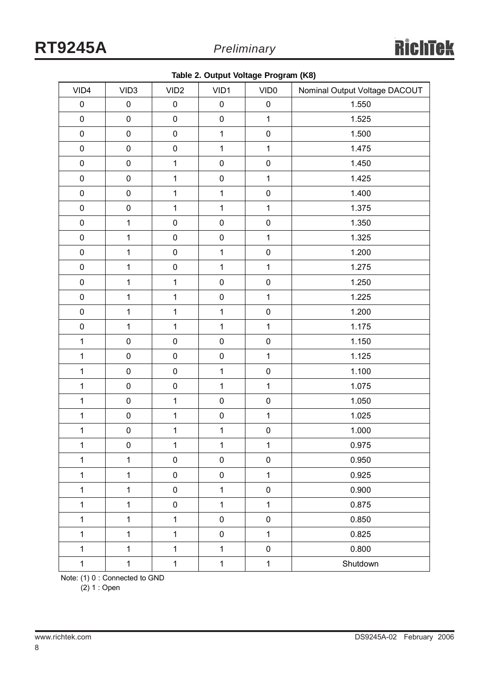|  |  |  | Table 2. Output Voltage Program (K8) |  |
|--|--|--|--------------------------------------|--|
|--|--|--|--------------------------------------|--|

|              |                  |                  | к.           | ◡<br>$\ddot{\phantom{0}}$ |                               |
|--------------|------------------|------------------|--------------|---------------------------|-------------------------------|
| VID4         | VID <sub>3</sub> | VID <sub>2</sub> | VID1         | VID <sub>0</sub>          | Nominal Output Voltage DACOUT |
| $\pmb{0}$    | $\pmb{0}$        | $\pmb{0}$        | $\pmb{0}$    | $\pmb{0}$                 | 1.550                         |
| $\pmb{0}$    | $\pmb{0}$        | $\pmb{0}$        | $\pmb{0}$    | $\mathbf{1}$              | 1.525                         |
| $\pmb{0}$    | $\pmb{0}$        | $\pmb{0}$        | $\mathbf{1}$ | $\pmb{0}$                 | 1.500                         |
| $\pmb{0}$    | $\pmb{0}$        | $\pmb{0}$        | $\mathbf{1}$ | $\mathbf{1}$              | 1.475                         |
| $\mathbf 0$  | $\pmb{0}$        | $\mathbf{1}$     | $\pmb{0}$    | $\pmb{0}$                 | 1.450                         |
| $\pmb{0}$    | $\pmb{0}$        | $\mathbf{1}$     | $\pmb{0}$    | $\mathbf{1}$              | 1.425                         |
| $\pmb{0}$    | $\pmb{0}$        | $\mathbf{1}$     | $\mathbf{1}$ | $\pmb{0}$                 | 1.400                         |
| $\pmb{0}$    | $\pmb{0}$        | $\mathbf{1}$     | $\mathbf{1}$ | $\mathbf{1}$              | 1.375                         |
| $\pmb{0}$    | $\mathbf 1$      | $\pmb{0}$        | $\pmb{0}$    | $\pmb{0}$                 | 1.350                         |
| $\pmb{0}$    | $\overline{1}$   | $\pmb{0}$        | $\pmb{0}$    | $\mathbf 1$               | 1.325                         |
| $\pmb{0}$    | $\mathbf{1}$     | $\pmb{0}$        | $\mathbf{1}$ | $\pmb{0}$                 | 1.200                         |
| $\pmb{0}$    | $\mathbf{1}$     | $\pmb{0}$        | $\mathbf{1}$ | $\mathbf{1}$              | 1.275                         |
| $\pmb{0}$    | $\mathbf 1$      | $\mathbf{1}$     | $\pmb{0}$    | $\pmb{0}$                 | 1.250                         |
| $\pmb{0}$    | $\mathbf{1}$     | $\mathbf{1}$     | $\pmb{0}$    | $\mathbf{1}$              | 1.225                         |
| $\pmb{0}$    | $\mathbf{1}$     | $\mathbf{1}$     | $\mathbf{1}$ | $\pmb{0}$                 | 1.200                         |
| $\pmb{0}$    | $\mathbf{1}$     | $\mathbf{1}$     | $\mathbf{1}$ | $\mathbf{1}$              | 1.175                         |
| $\mathbf{1}$ | $\pmb{0}$        | $\pmb{0}$        | $\pmb{0}$    | $\pmb{0}$                 | 1.150                         |
| $\mathbf{1}$ | $\pmb{0}$        | $\pmb{0}$        | $\pmb{0}$    | $\mathbf{1}$              | 1.125                         |
| $\mathbf{1}$ | $\pmb{0}$        | $\pmb{0}$        | $\mathbf{1}$ | $\pmb{0}$                 | 1.100                         |
| $\mathbf{1}$ | $\pmb{0}$        | $\pmb{0}$        | $\mathbf{1}$ | $\mathbf{1}$              | 1.075                         |
| $\mathbf{1}$ | $\pmb{0}$        | $\mathbf{1}$     | $\pmb{0}$    | $\pmb{0}$                 | 1.050                         |
| $\mathbf{1}$ | $\pmb{0}$        | $\mathbf{1}$     | $\pmb{0}$    | $\mathbf{1}$              | 1.025                         |
| $\mathbf{1}$ | $\pmb{0}$        | $\mathbf 1$      | $\mathbf{1}$ | $\pmb{0}$                 | 1.000                         |
| $\mathbf{1}$ | $\pmb{0}$        | $\mathbf{1}$     | $\mathbf{1}$ | $\mathbf{1}$              | 0.975                         |
| $\mathbf{1}$ | $\mathbf{1}$     | $\pmb{0}$        | $\pmb{0}$    | $\pmb{0}$                 | 0.950                         |
| $\mathbf{1}$ | $\mathbf{1}$     | 0                | $\pmb{0}$    | $\mathbf{1}$              | 0.925                         |
| $\mathbf{1}$ | $\mathbf{1}$     | 0                | $\mathbf{1}$ | $\pmb{0}$                 | 0.900                         |
| $\mathbf{1}$ | $\mathbf{1}$     | 0                | $\mathbf{1}$ | $\mathbf{1}$              | 0.875                         |
| $\mathbf{1}$ | $\mathbf{1}$     | $\mathbf{1}$     | $\pmb{0}$    | $\pmb{0}$                 | 0.850                         |
| $\mathbf{1}$ | $\mathbf{1}$     | $\mathbf{1}$     | $\pmb{0}$    | $\mathbf{1}$              | 0.825                         |
| $\mathbf{1}$ | $\mathbf{1}$     | $\mathbf{1}$     | $\mathbf{1}$ | $\pmb{0}$                 | 0.800                         |
| $\mathbf{1}$ | $\mathbf 1$      | $\mathbf{1}$     | $\mathbf{1}$ | $\mathbf 1$               | Shutdown                      |

Note: (1) 0 : Connected to GND

 $(2) 1 :$  Open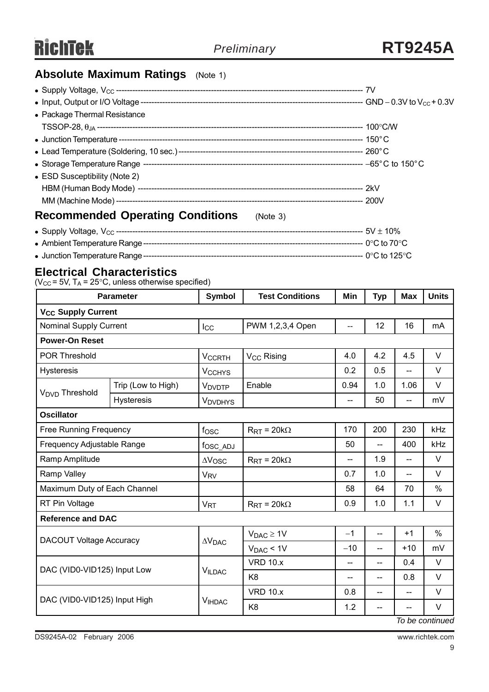# **Absolute Maximum Ratings** (Note 1)

| • Package Thermal Resistance                        |  |
|-----------------------------------------------------|--|
|                                                     |  |
|                                                     |  |
|                                                     |  |
|                                                     |  |
| • ESD Susceptibility (Note 2)                       |  |
|                                                     |  |
|                                                     |  |
| <b>Recommended Operating Conditions</b><br>(Note 3) |  |
|                                                     |  |
|                                                     |  |

<sup>z</sup> Junction Temperature Range--------------------------------------------------------------------------------- 0°C to 125°C

### **Electrical Characteristics**

( $V_{CC}$  = 5V, T<sub>A</sub> = 25 $\degree$ C, unless otherwise specified)

| <b>Parameter</b>                     |                    | <b>Symbol</b>            | <b>Test Conditions</b>         | Min                                           | <b>Typ</b>               | <b>Max</b>               | <b>Units</b>              |
|--------------------------------------|--------------------|--------------------------|--------------------------------|-----------------------------------------------|--------------------------|--------------------------|---------------------------|
| <b>V<sub>CC</sub> Supply Current</b> |                    |                          |                                |                                               |                          |                          |                           |
| <b>Nominal Supply Current</b>        |                    | $_{\text{loc}}$          | PWM 1,2,3,4 Open               | $\mathord{\hspace{1pt}\text{--}\hspace{1pt}}$ | 12                       | 16                       | mA                        |
| <b>Power-On Reset</b>                |                    |                          |                                |                                               |                          |                          |                           |
| <b>POR Threshold</b>                 |                    | <b>VCCRTH</b>            | V <sub>CC</sub> Rising         | 4.0                                           | 4.2                      | 4.5                      | $\vee$                    |
| <b>Hysteresis</b>                    |                    | <b>V<sub>CCHYS</sub></b> |                                | 0.2                                           | 0.5                      | $\overline{\phantom{a}}$ | $\vee$                    |
|                                      | Trip (Low to High) | <b>VDVDTP</b>            | Enable                         | 0.94                                          | 1.0                      | 1.06                     | $\vee$                    |
| V <sub>DVD</sub> Threshold           | <b>Hysteresis</b>  | <b>VDVDHYS</b>           |                                | --                                            | 50                       | $-$                      | mV                        |
| <b>Oscillator</b>                    |                    |                          |                                |                                               |                          |                          |                           |
| <b>Free Running Frequency</b>        |                    | f <sub>OSC</sub>         | $R_{\text{RT}} = 20k\Omega$    | 170                                           | 200                      | 230                      | kHz                       |
| Frequency Adjustable Range           |                    | fosc_ADJ                 |                                | 50                                            | $-$                      | 400                      | kHz                       |
| Ramp Amplitude                       |                    | $\Delta V$ OSC           | $R_{\text{RT}}$ = 20k $\Omega$ | --                                            | 1.9                      | $\overline{\phantom{a}}$ | V                         |
| Ramp Valley                          |                    | <b>V<sub>RV</sub></b>    |                                | 0.7                                           | 1.0                      |                          | $\vee$                    |
| Maximum Duty of Each Channel         |                    |                          |                                | 58                                            | 64                       | 70                       | $\%$                      |
| RT Pin Voltage                       |                    | <b>V<sub>RT</sub></b>    | $R_{\text{RT}}$ = 20k $\Omega$ | 0.9                                           | 1.0                      | 1.1                      | V                         |
| <b>Reference and DAC</b>             |                    |                          |                                |                                               |                          |                          |                           |
|                                      |                    |                          | $V_{DAC} \geq 1V$              | $-1$                                          | $-$                      | $+1$                     | $\%$                      |
| <b>DACOUT Voltage Accuracy</b>       |                    | $\Delta V_{\text{DAC}}$  | $V_{DAC}$ < 1V                 | $-10$                                         | $\overline{\phantom{a}}$ | $+10$                    | mV                        |
| DAC (VID0-VID125) Input Low          |                    |                          | <b>VRD 10.x</b>                | --                                            | $-$                      | 0.4                      | $\vee$                    |
|                                      |                    | <b>VILDAC</b>            | K <sub>8</sub>                 | $-$                                           | $\overline{a}$           | 0.8                      | $\vee$                    |
|                                      |                    |                          | <b>VRD 10.x</b>                | 0.8                                           | $\overline{\phantom{a}}$ | $\overline{a}$           | V                         |
| DAC (VID0-VID125) Input High         |                    | <b>VIHDAC</b>            | K <sub>8</sub>                 | 1.2                                           | $- -$                    |                          | $\vee$<br>To ho continuod |

*To be continued*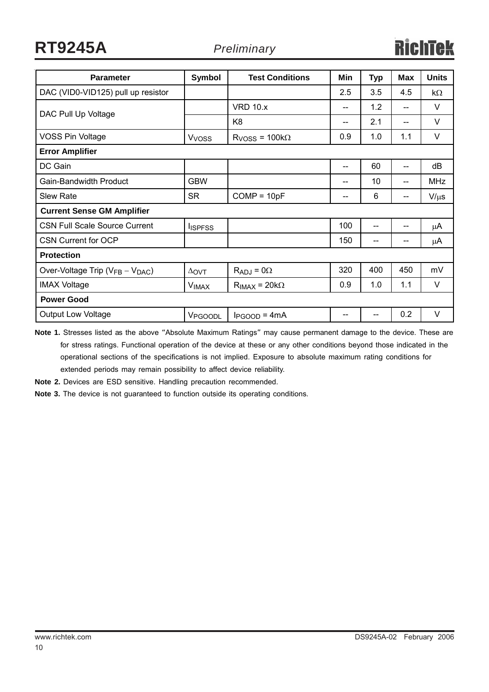**RT9245A** *Preliminary*

| <b>Parameter</b>                                        | Symbol              | <b>Test Conditions</b> | Min                                 | <b>Typ</b> | <b>Max</b>                            | <b>Units</b> |
|---------------------------------------------------------|---------------------|------------------------|-------------------------------------|------------|---------------------------------------|--------------|
| DAC (VID0-VID125) pull up resistor                      |                     |                        | 2.5                                 | 3.5        | 4.5                                   | $k\Omega$    |
|                                                         |                     | <b>VRD 10.x</b>        | $\hspace{0.05cm}$ $\hspace{0.05cm}$ | 1.2        | --                                    | $\vee$       |
| DAC Pull Up Voltage                                     |                     | K <sub>8</sub>         | --                                  | 2.1        | --                                    | $\vee$       |
| <b>VOSS Pin Voltage</b>                                 | V <sub>VOSS</sub>   | $RVOSS = 100k\Omega$   | 0.9                                 | 1.0        | 1.1                                   | $\vee$       |
| <b>Error Amplifier</b>                                  |                     |                        |                                     |            |                                       |              |
| DC Gain                                                 |                     |                        | --                                  | 60         | --                                    | dB           |
| Gain-Bandwidth Product                                  | <b>GBW</b>          |                        | --                                  | 10         | --                                    | <b>MHz</b>   |
| Slew Rate                                               | <b>SR</b>           | $COMP = 10pF$          | $-$                                 | 6          | $\hspace{0.05cm}$ – $\hspace{0.05cm}$ | $V/\mu s$    |
| <b>Current Sense GM Amplifier</b>                       |                     |                        |                                     |            |                                       |              |
| <b>CSN Full Scale Source Current</b>                    | <b>I</b> ISPFSS     |                        | 100                                 | $-$        | $-$                                   | μA           |
| <b>CSN Current for OCP</b>                              |                     |                        | 150                                 |            |                                       | $\mu$ A      |
| <b>Protection</b>                                       |                     |                        |                                     |            |                                       |              |
| Over-Voltage Trip (V <sub>FB</sub> - V <sub>DAC</sub> ) | $\Delta$ OVT        | $R_{ADJ} = 0\Omega$    | 320                                 | 400        | 450                                   | mV           |
| <b>IMAX Voltage</b>                                     | <b>VIMAX</b>        | $R_{IMAX} = 20k\Omega$ | 0.9                                 | 1.0        | 1.1                                   | $\vee$       |
| <b>Power Good</b>                                       |                     |                        |                                     |            |                                       |              |
| <b>Output Low Voltage</b>                               | V <sub>PGOODL</sub> | $I_{PGOOD} = 4mA$      | --                                  |            | 0.2                                   | $\vee$       |

**Note 1.** Stresses listed as the above "Absolute Maximum Ratings" may cause permanent damage to the device. These are for stress ratings. Functional operation of the device at these or any other conditions beyond those indicated in the operational sections of the specifications is not implied. Exposure to absolute maximum rating conditions for extended periods may remain possibility to affect device reliability.

**Note 2.** Devices are ESD sensitive. Handling precaution recommended.

**Note 3.** The device is not guaranteed to function outside its operating conditions.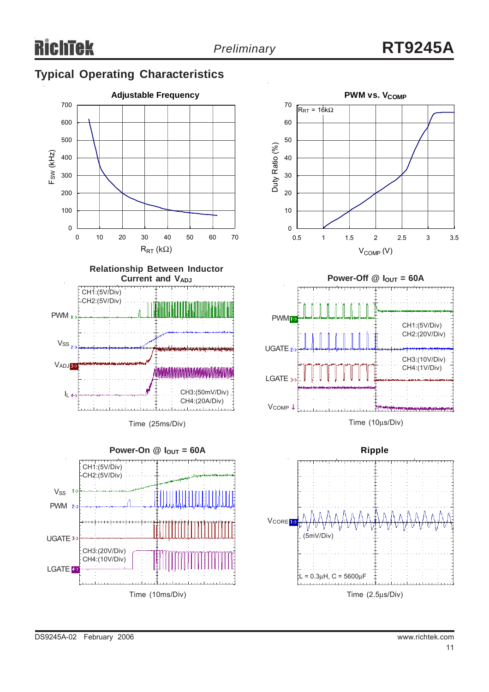# **Typical Operating Characteristics**





Time (25ms/Div)









Time (2.5μs/Div)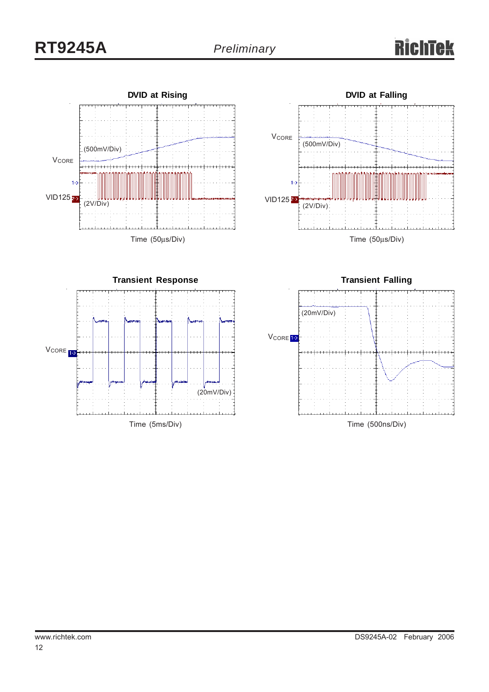





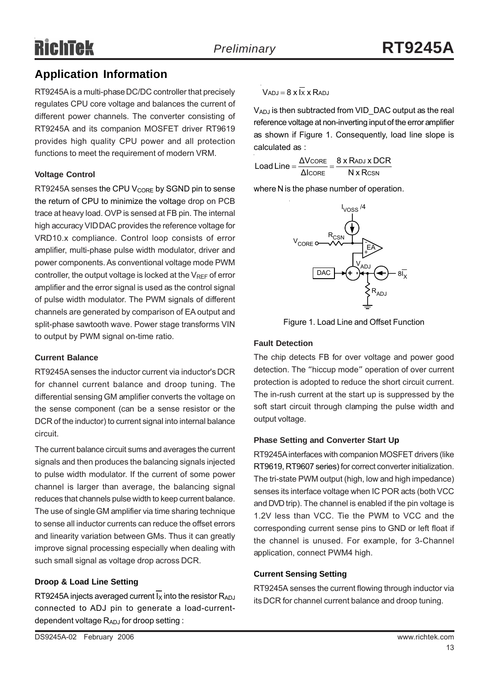# **Application Information**

RT9245A is a multi-phase DC/DC controller that precisely regulates CPU core voltage and balances the current of different power channels. The converter consisting of RT9245A and its companion MOSFET driver RT9619 provides high quality CPU power and all protection functions to meet the requirement of modern VRM.

#### **Voltage Control**

RT9245A senses the CPU  $V_{\text{CORE}}$  by SGND pin to sense the return of CPU to minimize the voltage drop on PCB trace at heavy load. OVP is sensed at FB pin. The internal high accuracy VID DAC provides the reference voltage for VRD10.x compliance. Control loop consists of error amplifier, multi-phase pulse width modulator, driver and power components. As conventional voltage mode PWM controller, the output voltage is locked at the  $V_{REF}$  of error amplifier and the error signal is used as the control signal of pulse width modulator. The PWM signals of different channels are generated by comparison of EA output and split-phase sawtooth wave. Power stage transforms VIN to output by PWM signal on-time ratio.

#### **Current Balance**

RT9245A senses the inductor current via inductor's DCR for channel current balance and droop tuning. The differential sensing GM amplifier converts the voltage on the sense component (can be a sense resistor or the DCR of the inductor) to current signal into internal balance circuit.

The current balance circuit sums and averages the current signals and then produces the balancing signals injected to pulse width modulator. If the current of some power channel is larger than average, the balancing signal reduces that channels pulse width to keep current balance. The use of single GM amplifier via time sharing technique to sense all inductor currents can reduce the offset errors and linearity variation between GMs. Thus it can greatly improve signal processing especially when dealing with such small signal as voltage drop across DCR.

#### **Droop & Load Line Setting**

RT9245A injects averaged current  $\overline{I_{\rm X}}$  into the resistor  $R_{\rm ADJ}$ connected to ADJ pin to generate a load-currentdependent voltage R<sub>ADJ</sub> for droop setting :

$$
V_{ADJ} = 8 \times \overline{Ix} \times R_{ADJ}
$$

VADJ is then subtracted from VID\_DAC output as the real reference voltage at non-inverting input of the error amplifier as shown if Figure 1. Consequently, load line slope is calculated as :

$$
Load Line = \frac{\Delta V_{CORE}}{\Delta I_{CORE}} = \frac{8 \times R_{ADJ} \times DCR}{N \times R_{CSN}}
$$

where N is the phase number of operation.



Figure 1. Load Line and Offset Function

#### **Fault Detection**

The chip detects FB for over voltage and power good detection. The "hiccup mode" operation of over current protection is adopted to reduce the short circuit current. The in-rush current at the start up is suppressed by the soft start circuit through clamping the pulse width and output voltage.

#### **Phase Setting and Converter Start Up**

RT9245A interfaces with companion MOSFET drivers (like RT9619, RT9607 series) for correct converter initialization. The tri-state PWM output (high, low and high impedance) senses its interface voltage when IC POR acts (both VCC and DVD trip). The channel is enabled if the pin voltage is 1.2V less than VCC. Tie the PWM to VCC and the corresponding current sense pins to GND or left float if the channel is unused. For example, for 3-Channel application, connect PWM4 high.

#### **Current Sensing Setting**

RT9245A senses the current flowing through inductor via its DCR for channel current balance and droop tuning.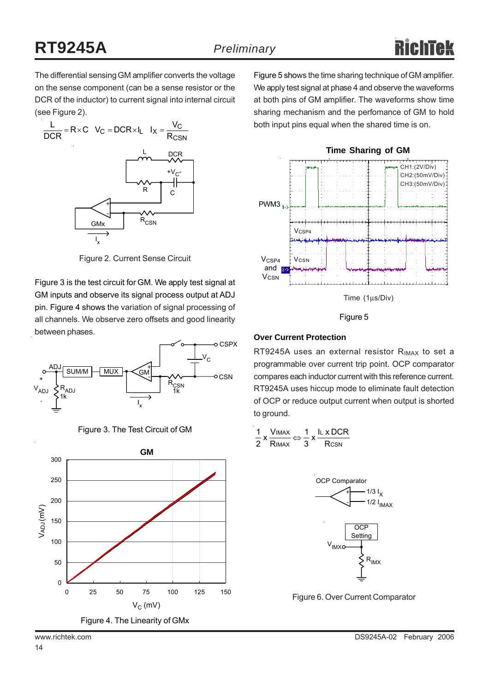The differential sensing GM amplifier converts the voltage on the sense component (can be a sense resistor or the DCR of the inductor) to current signal into internal circuit (see Figure 2).



Figure 2. Current Sense Circuit

Figure 3 is the test circuit for GM. We apply test signal at GM inputs and observe its signal process output at ADJ pin. Figure 4 shows the variation of signal processing of all channels. We observe zero offsets and good linearity between phases.



Figure 3. The Test Circuit of GM



Figure 5 shows the time sharing technique of GM amplifier. We apply test signal at phase 4 and observe the waveforms at both pins of GM amplifier. The waveforms show time sharing mechanism and the perfomance of GM to hold both input pins equal when the shared time is on.



Time (1μs/Div)

#### Figure 5

#### **Over Current Protection**

RT9245A uses an external resistor R<sub>IMAX</sub> to set a programmable over current trip point. OCP comparator compares each inductor current with this reference current. RT9245A uses hiccup mode to eliminate fault detection of OCP or reduce output current when output is shorted to ground.

$$
\frac{1}{2} \times \frac{V_{IMAX}}{R_{IMAX}} \Leftrightarrow \frac{1}{3} \times \frac{I_{L} \times DCR}{R_{CSN}}
$$



Figure 6. Over Current Comparator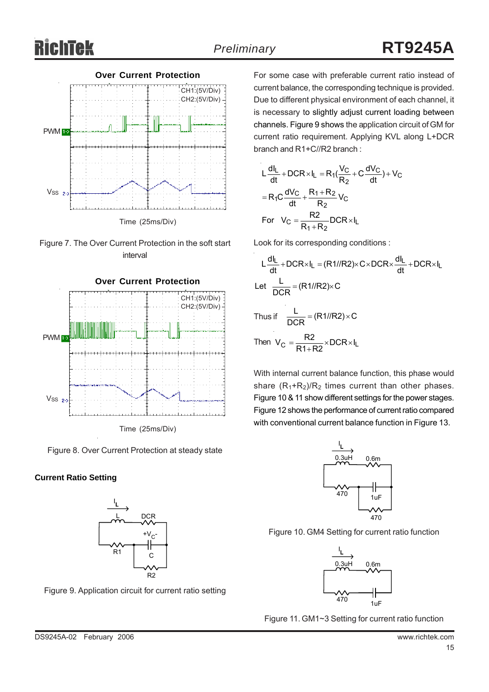





Figure 8. Over Current Protection at steady state

#### **Current Ratio Setting**



Figure 9. Application circuit for current ratio setting

For some case with preferable current ratio instead of current balance, the corresponding technique is provided. Due to different physical environment of each channel, it is necessary to slightly adjust current loading between channels. Figure 9 shows the application circuit of GM for current ratio requirement. Applying KVL along L+DCR branch and R1+C//R2 branch :

$$
L\frac{dl_L}{dt} + DCR \times l_L = R_1(\frac{V_C}{R_2} + C\frac{dV_C}{dt}) + V_C
$$
  
= R\_1C\frac{dV\_C}{dt} + \frac{R\_1 + R\_2}{R\_2}V\_C  
For V\_C = \frac{R\_2}{R\_1 + R\_2} DCR \times l\_L

Look for its corresponding conditions :

$$
L\frac{dl_L}{dt} + DCR \times I_L = (R1//R2) \times C \times DCR \times \frac{dl_L}{dt} + DCR \times I_L
$$
  
Let 
$$
\frac{L}{DCR} = (R1//R2) \times C
$$
  
Thus if 
$$
\frac{L}{DCR} = (R1//R2) \times C
$$
  
Then 
$$
V_C = \frac{R2}{R1+R2} \times DCR \times I_L
$$

With internal current balance function, this phase would share  $(R_1+R_2)/R_2$  times current than other phases. Figure 10 & 11 show different settings for the power stages. Figure 12 shows the performance of current ratio compared with conventional current balance function in Figure 13.



Figure 10. GM4 Setting for current ratio function



Figure 11. GM1~3 Setting for current ratio function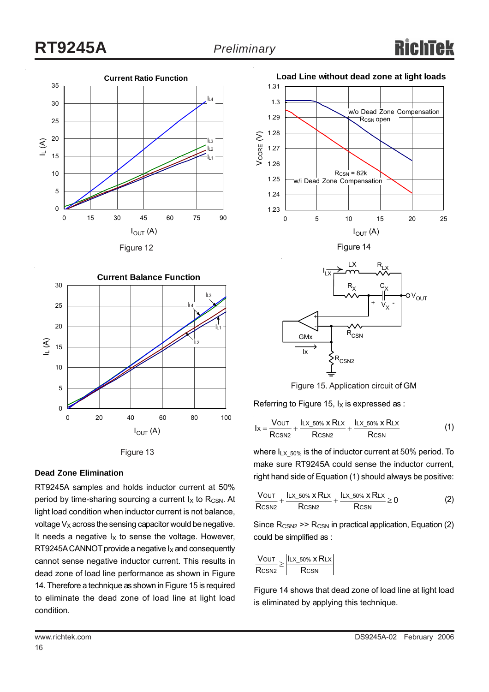





#### **Dead Zone Elimination**

RT9245A samples and holds inductor current at 50% period by time-sharing sourcing a current  $I_X$  to R<sub>CSN</sub>. At light load condition when inductor current is not balance, voltage  $V_X$  across the sensing capacitor would be negative. It needs a negative  $I_X$  to sense the voltage. However, RT9245A CANNOT provide a negative  $I_X$  and consequently cannot sense negative inductor current. This results in dead zone of load line performance as shown in Figure 14. Therefore a technique as shown in Figure 15 is required to eliminate the dead zone of load line at light load condition.



Figure 15. Application circuit of GM

Referring to Figure 15,  $I_X$  is expressed as :

$$
lx = \frac{V_{OUT}}{Rcsnz} + \frac{Itx_{50\%} \times Rtx}{Rcsnz} + \frac{Itx_{50\%} \times Rtx}{Rcsnz}
$$
 (1)

where  $I_{LX}$  <sub>50%</sub> is the of inductor current at 50% period. To make sure RT9245A could sense the inductor current, right hand side of Equation (1) should always be positive:

$$
\frac{V_{OUT}}{R_{CSN2}} + \frac{Lx_{50\%} \times R_{LX}}{R_{CSN2}} + \frac{Lx_{50\%} \times R_{LX}}{R_{CSN}} \ge 0
$$
 (2)

Since  $R_{CSN2}$  >>  $R_{CSN}$  in practical application, Equation (2) could be simplified as :

$$
\frac{V\text{OUT}}{R\text{CSN2}}\!\geq\!\left|\!\frac{I\text{LX\_50\%}\times R\text{LX}}{R\text{CSN}}\!\right|
$$

Figure 14 shows that dead zone of load line at light load is eliminated by applying this technique.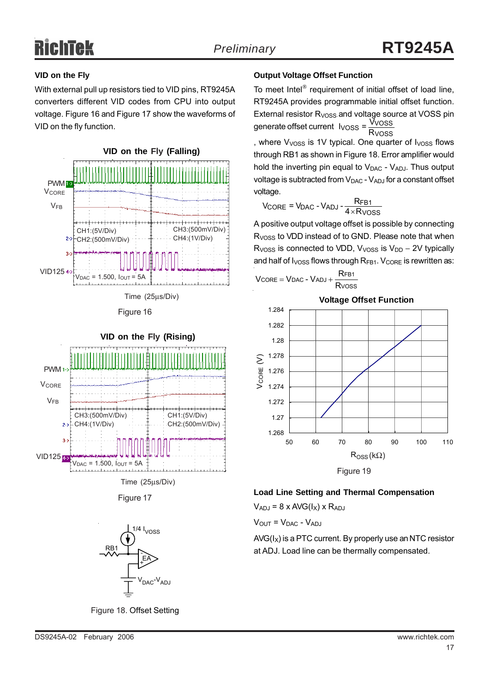### **VID on the Fly**

With external pull up resistors tied to VID pins, RT9245A converters different VID codes from CPU into output voltage. Figure 16 and Figure 17 show the waveforms of VID on the fly function.







Time (25μs/Div)

Figure 17



Figure 18. Offset Setting

#### **Output Voltage Offset Function**

To meet Intel® requirement of initial offset of load line, RT9245A provides programmable initial offset function. External resistor  $R<sub>VOSS</sub>$  and voltage source at VOSS pin generate offset current  $V_{VOSS} = \frac{\tilde{V}_{VOSS}}{R_{VOSS}}$ 

, where  $V<sub>VOS</sub>$  is 1V typical. One quarter of  $V<sub>OSS</sub>$  flows through RB1 as shown in Figure 18. Error amplifier would hold the inverting pin equal to  $V_{\text{DAC}}$  -  $V_{\text{AD,I}}$ . Thus output voltage is subtracted from  $V_{DAC}$  -  $V_{ADJ}$  for a constant offset voltage.

$$
V_{\text{CORE}} = V_{\text{DAC}} - V_{\text{ADI}} - \frac{R_{\text{FB1}}}{4 \times R_{\text{VOSS}}}
$$

A positive output voltage offset is possible by connecting R<sub>VOSS</sub> to VDD instead of to GND. Please note that when R<sub>VOSS</sub> is connected to VDD,  $V_{VOSS}$  is  $V_{DD} - 2V$  typically and half of  $I_{VOSS}$  flows through  $R_{FB1}$ .  $V_{CORE}$  is rewritten as:

$$
V_{CORE} = V_{DAC} - V_{ADJ} + \frac{R_{FB1}}{R \text{voss}}
$$



# **Load Line Setting and Thermal Compensation**

 $V_{ADJ}$  = 8 x AVG( $I_X$ ) x R<sub>ADJ</sub>

 $V<sub>OUT</sub> = V<sub>DAC</sub> - V<sub>ADJ</sub>$ 

 $AVG(I_X)$  is a PTC current. By properly use an NTC resistor at ADJ. Load line can be thermally compensated.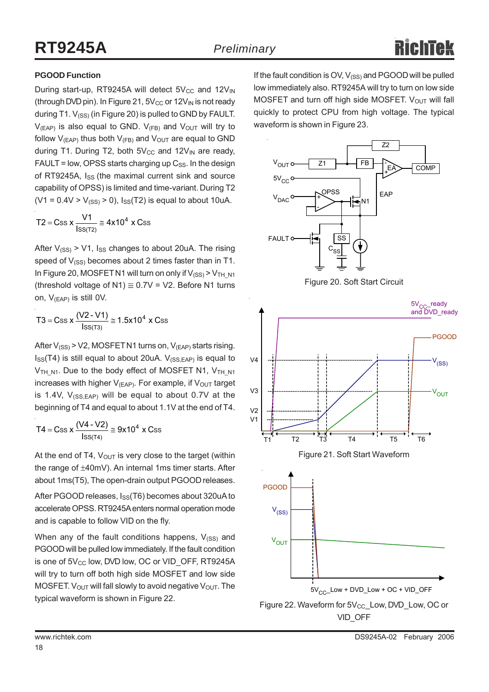V1

#### **PGOOD Function**

During start-up, RT9245A will detect  $5V_{CC}$  and  $12V_{IN}$ (through DVD pin). In Figure 21,  $5V_{CC}$  or  $12V_{IN}$  is not ready during T1.  $V_{(SS)}$  (in Figure 20) is pulled to GND by FAULT.  $V_{(FAP)}$  is also equal to GND.  $V_{(FB)}$  and  $V_{\text{OUT}}$  will try to follow  $V_{(EAP)}$  thus both  $V_{(FB)}$  and  $V_{OUT}$  are equal to GND during T1. During T2, both  $5V_{CC}$  and  $12V_{IN}$  are ready,  $FAULT = low$ , OPSS starts charging up  $C_{SS}$ . In the design of RT9245A, I<sub>SS</sub> (the maximal current sink and source capability of OPSS) is limited and time-variant. During T2  $(V1 = 0.4V > V_{(SS)} > 0)$ ,  $I_{SS}(T2)$  is equal to about 10uA.

$$
T2 = Css \times \frac{V1}{Iss(T2)} \approx 4x10^4 \times Css
$$

After  $V_{(SS)}$  > V1, I<sub>SS</sub> changes to about 20uA. The rising speed of  $V_{(SS)}$  becomes about 2 times faster than in T1. In Figure 20, MOSFET N1 will turn on only if  $V_{(SS)}$  >  $V_{TH-N1}$ (threshold voltage of N1)  $\approx$  0.7V = V2. Before N1 turns on, V(EAP) is still 0V.

$$
T3 = Css \times \frac{(V2 - V1)}{\text{lss}(\text{r3})} \approx 1.5 \times 10^4 \times Css
$$

After  $V_{(SS)}$  > V2, MOSFET N1 turns on,  $V_{(EAP)}$  starts rising.  $I_{SS}(T4)$  is still equal to about 20uA.  $V_{(SS, EAP)}$  is equal to  $V_{TH,N1}$ . Due to the body effect of MOSFET N1,  $V_{TH,N1}$ increases with higher  $V_{(FAP)}$ . For example, if  $V_{\text{OUT}}$  target is 1.4V,  $V_{(SS, EAP)}$  will be equal to about 0.7V at the beginning of T4 and equal to about 1.1V at the end of T4.

$$
T4 = Css \; x \; \frac{(V4-V2)}{lss(\text{ta})} \cong 9x10^4 \; x \; Css
$$

At the end of T4,  $V_{\text{OUT}}$  is very close to the target (within the range of ±40mV). An internal 1ms timer starts. After about 1ms(T5), The open-drain output PGOOD releases.

After PGOOD releases, I<sub>SS</sub>(T6) becomes about 320uA to accelerate OPSS. RT9245A enters normal operation mode and is capable to follow VID on the fly.

When any of the fault conditions happens,  $V_{(SS)}$  and PGOOD will be pulled low immediately. If the fault condition is one of 5V<sub>CC</sub> low, DVD low, OC or VID\_OFF, RT9245A will try to turn off both high side MOSFET and low side MOSFET.  $V_{\text{OUT}}$  will fall slowly to avoid negative  $V_{\text{OUT}}$ . The typical waveform is shown in Figure 22.

If the fault condition is OV,  $V_{(SS)}$  and PGOOD will be pulled low immediately also. RT9245A will try to turn on low side MOSFET and turn off high side MOSFET.  $V_{OUT}$  will fall quickly to protect CPU from high voltage. The typical waveform is shown in Figure 23.



VID\_OFF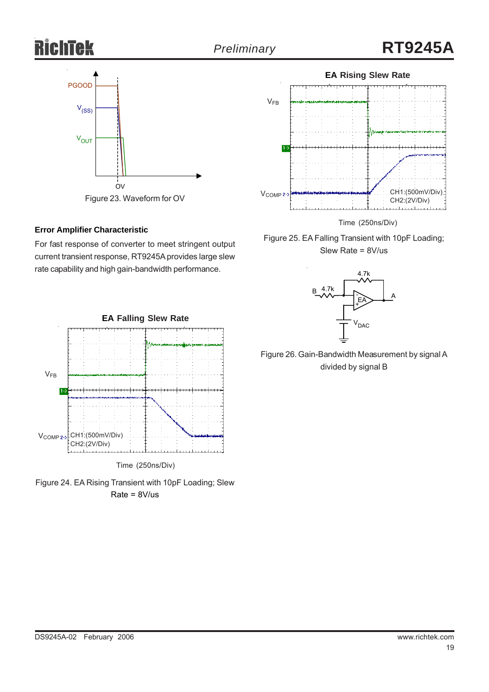

Figure 23. Waveform for OV

#### **Error Amplifier Characteristic**

For fast response of converter to meet stringent output current transient response, RT9245A provides large slew rate capability and high gain-bandwidth performance.



Time (250ns/Div)





Time (250ns/Div)

Figure 25. EA Falling Transient with 10pF Loading; Slew Rate = 8V/us



Figure 26. Gain-Bandwidth Measurement by signal A divided by signal B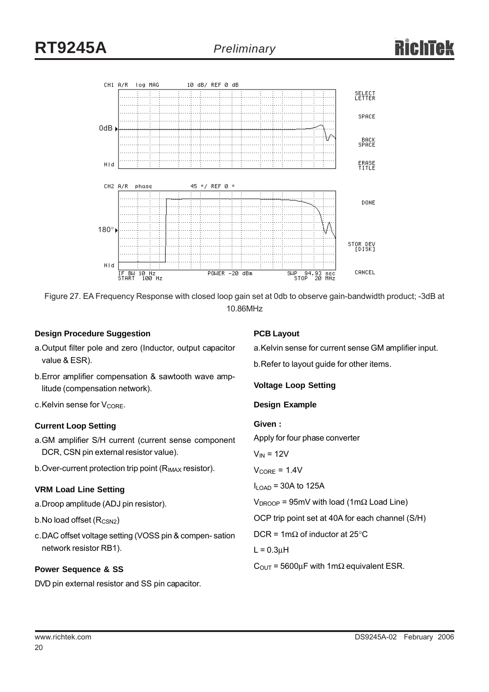



#### **Design Procedure Suggestion**

#### **PCB Layout**

- a.Output filter pole and zero (Inductor, output capacitor value & ESR).
- b.Error amplifier compensation & sawtooth wave amplitude (compensation network).
- $c$ . Kelvin sense for  $V_{\text{CORE}}$ .

#### **Current Loop Setting**

- a.GM amplifier S/H current (current sense component DCR, CSN pin external resistor value).
- b. Over-current protection trip point (R<sub>IMAX</sub> resistor).

#### **VRM Load Line Setting**

- a.Droop amplitude (ADJ pin resistor).
- $b$ . No load offset ( $R_{CSN2}$ )
- c.DAC offset voltage setting (VOSS pin & compen- sation network resistor RB1).

#### **Power Sequence & SS**

DVD pin external resistor and SS pin capacitor.

b.Refer to layout guide for other items. **Voltage Loop Setting Design Example Given :** Apply for four phase converter  $V_{IN}$  = 12V  $V_{\text{CORE}} = 1.4V$ 

a.Kelvin sense for current sense GM amplifier input.

 $I_{\text{LOAD}}$  = 30A to 125A

 $V_{DROOP}$  = 95mV with load (1m $\Omega$  Load Line)

OCP trip point set at 40A for each channel (S/H)

DCR = 1m $\Omega$  of inductor at 25°C

 $L = 0.3\mu H$ 

 $C_{\text{OUT}}$  = 5600µF with 1m $\Omega$  equivalent ESR.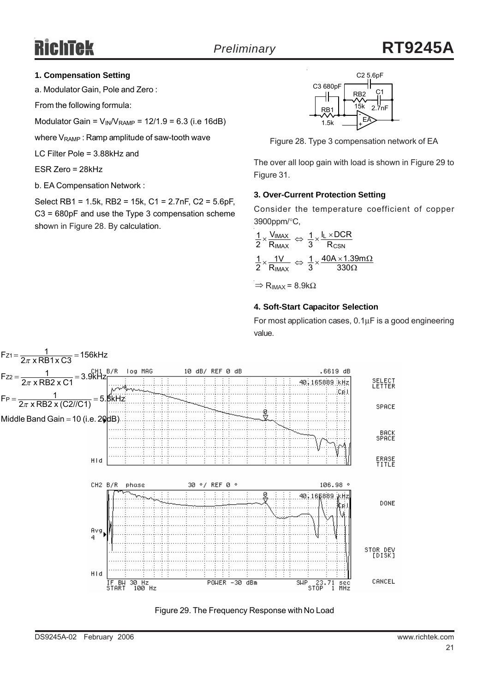#### **1. Compensation Setting**

a. Modulator Gain, Pole and Zero :

From the following formula:

Modulator Gain =  $V_{\text{IN}}/V_{\text{RAMP}}$  = 12/1.9 = 6.3 (i.e 16dB)

where  $V_{\text{RAMP}}$ : Ramp amplitude of saw-tooth wave

LC Filter Pole = 3.88kHz and

ESR Zero = 28kHz

b. EA Compensation Network :

Select RB1 = 1.5k, RB2 = 15k, C1 = 2.7nF, C2 = 5.6pF, C3 = 680pF and use the Type 3 compensation scheme shown in Figure 28. By calculation.



Figure 28. Type 3 compensation network of EA

The over all loop gain with load is shown in Figure 29 to Figure 31.

#### **3. Over-Current Protection Setting**

Consider the temperature coefficient of copper 3900ppm/°C,

$$
\frac{1}{2} \times \frac{V_{IMAX}}{R_{IMAX}} \Leftrightarrow \frac{1}{3} \times \frac{I_L \times DCR}{R_{CSN}}
$$

$$
\frac{1}{2} \times \frac{1V}{R_{IMAX}} \Leftrightarrow \frac{1}{3} \times \frac{40A \times 1.39m\Omega}{330\Omega}
$$

 $\Rightarrow$  R<sub>IMAX</sub> = 8.9kΩ

#### **4. Soft-Start Capacitor Selection**

For most application cases, 0.1μF is a good engineering value.



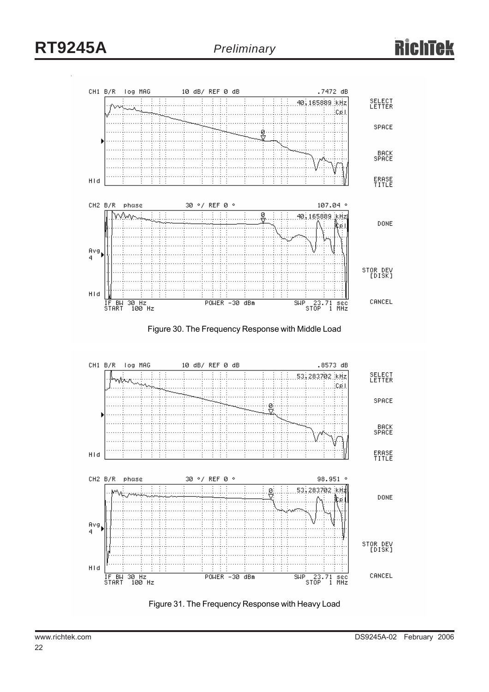

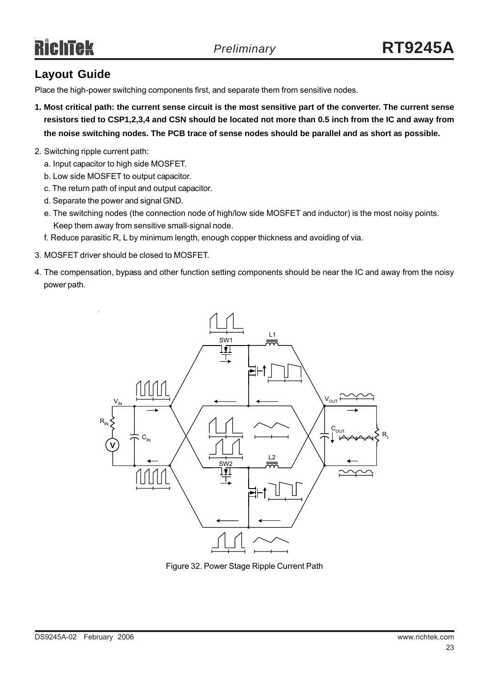# Richtek

# **Layout Guide**

Place the high-power switching components first, and separate them from sensitive nodes.

- **1. Most critical path: the current sense circuit is the most sensitive part of the converter. The current sense resistors tied to CSP1,2,3,4 and CSN should be located not more than 0.5 inch from the IC and away from the noise switching nodes. The PCB trace of sense nodes should be parallel and as short as possible.**
- 2. Switching ripple current path:
	- a. Input capacitor to high side MOSFET.
	- b. Low side MOSFET to output capacitor.
	- c. The return path of input and output capacitor.
	- d. Separate the power and signal GND.
	- e. The switching nodes (the connection node of high/low side MOSFET and inductor) is the most noisy points. Keep them away from sensitive small-signal node.
	- f. Reduce parasitic R, L by minimum length, enough copper thickness and avoiding of via.
- 3. MOSFET driver should be closed to MOSFET.
- 4. The compensation, bypass and other function setting components should be near the IC and away from the noisy power path.



Figure 32. Power Stage Ripple Current Path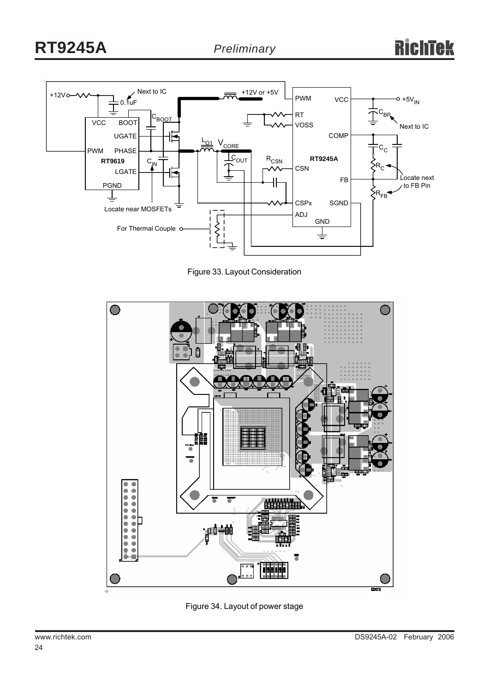

Figure 33. Layout Consideration



Figure 34. Layout of power stage